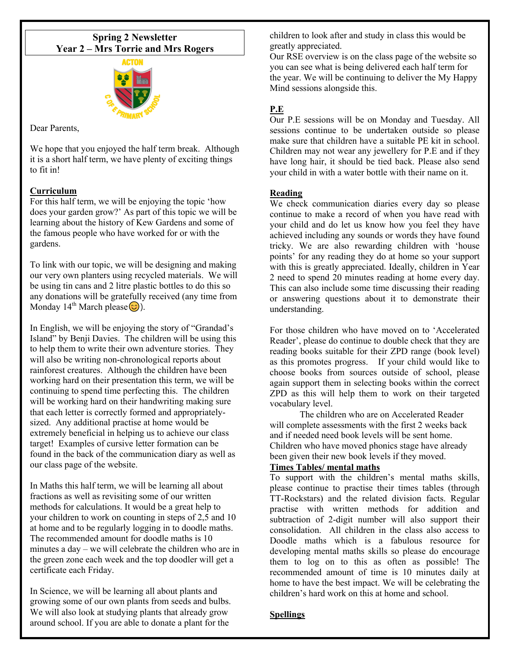## **Spring 2 Newsletter Year 2 – Mrs Torrie and Mrs Rogers**



Dear Parents,

We hope that you enjoyed the half term break. Although it is a short half term, we have plenty of exciting things to fit in!

## **Curriculum**

For this half term, we will be enjoying the topic 'how does your garden grow?' As part of this topic we will be learning about the history of Kew Gardens and some of the famous people who have worked for or with the gardens.

To link with our topic, we will be designing and making our very own planters using recycled materials. We will be using tin cans and 2 litre plastic bottles to do this so any donations will be gratefully received (any time from Monday 14<sup>th</sup> March please  $\circled{c}$ ).

In English, we will be enjoying the story of "Grandad's Island" by Benji Davies. The children will be using this to help them to write their own adventure stories. They will also be writing non-chronological reports about rainforest creatures. Although the children have been working hard on their presentation this term, we will be continuing to spend time perfecting this. The children will be working hard on their handwriting making sure that each letter is correctly formed and appropriatelysized. Any additional practise at home would be extremely beneficial in helping us to achieve our class target! Examples of cursive letter formation can be found in the back of the communication diary as well as our class page of the website.

In Maths this half term, we will be learning all about fractions as well as revisiting some of our written methods for calculations. It would be a great help to your children to work on counting in steps of 2,5 and 10 at home and to be regularly logging in to doodle maths. The recommended amount for doodle maths is 10 minutes a day – we will celebrate the children who are in the green zone each week and the top doodler will get a certificate each Friday.

In Science, we will be learning all about plants and growing some of our own plants from seeds and bulbs. We will also look at studying plants that already grow around school. If you are able to donate a plant for the

children to look after and study in class this would be greatly appreciated.

Our RSE overview is on the class page of the website so you can see what is being delivered each half term for the year. We will be continuing to deliver the My Happy Mind sessions alongside this.

# **P.E**

Our P.E sessions will be on Monday and Tuesday. All sessions continue to be undertaken outside so please make sure that children have a suitable PE kit in school. Children may not wear any jewellery for P.E and if they have long hair, it should be tied back. Please also send your child in with a water bottle with their name on it.

## **Reading**

We check communication diaries every day so please continue to make a record of when you have read with your child and do let us know how you feel they have achieved including any sounds or words they have found tricky. We are also rewarding children with 'house points' for any reading they do at home so your support with this is greatly appreciated. Ideally, children in Year 2 need to spend 20 minutes reading at home every day. This can also include some time discussing their reading or answering questions about it to demonstrate their understanding.

For those children who have moved on to 'Accelerated Reader', please do continue to double check that they are reading books suitable for their ZPD range (book level) as this promotes progress. If your child would like to choose books from sources outside of school, please again support them in selecting books within the correct ZPD as this will help them to work on their targeted vocabulary level.

The children who are on Accelerated Reader will complete assessments with the first 2 weeks back and if needed need book levels will be sent home. Children who have moved phonics stage have already been given their new book levels if they moved.

## **Times Tables/ mental maths**

To support with the children's mental maths skills, please continue to practise their times tables (through TT-Rockstars) and the related division facts. Regular practise with written methods for addition and subtraction of 2-digit number will also support their consolidation. All children in the class also access to Doodle maths which is a fabulous resource for developing mental maths skills so please do encourage them to log on to this as often as possible! The recommended amount of time is 10 minutes daily at home to have the best impact. We will be celebrating the children's hard work on this at home and school.

#### **Spellings**